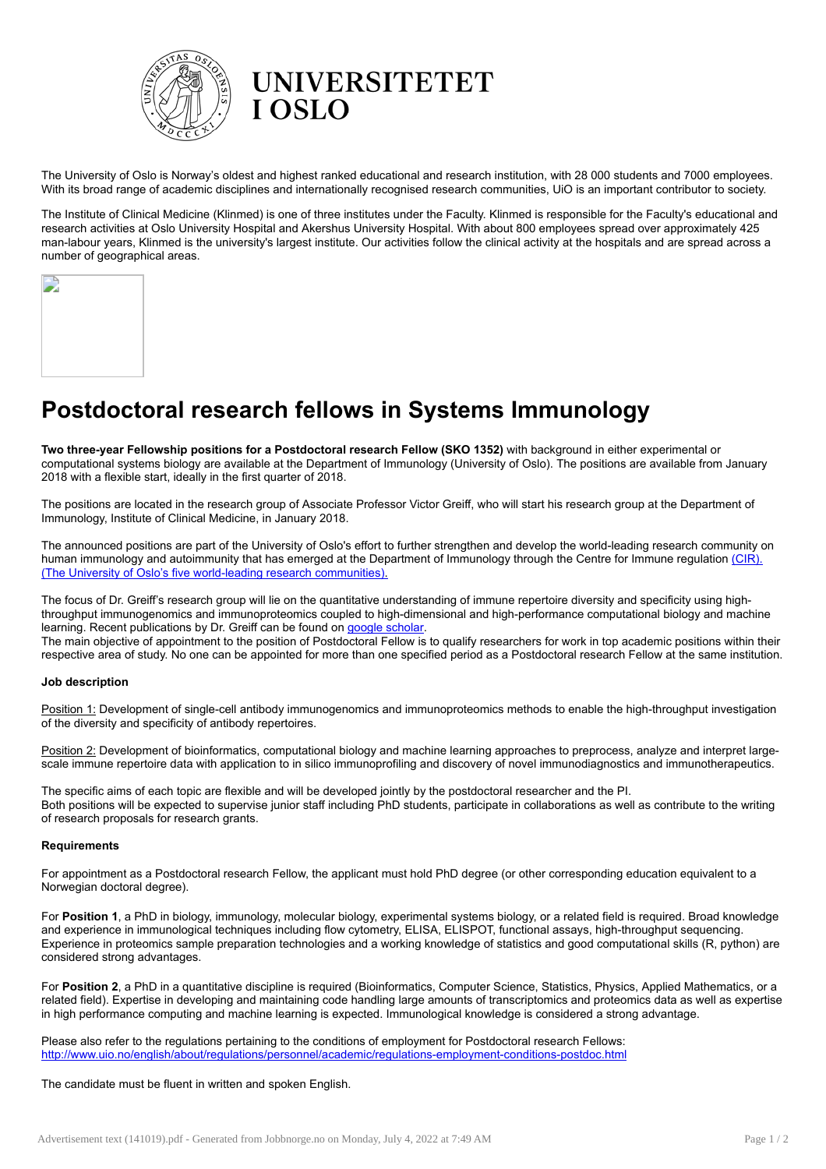

The University of Oslo is Norway's oldest and highest ranked educational and research institution, with 28 000 students and 7000 employees. With its broad range of academic disciplines and internationally recognised research communities, UiO is an important contributor to society.

The Institute of Clinical Medicine (Klinmed) is one of three institutes under the Faculty. Klinmed is responsible for the Faculty's educational and research activities at Oslo University Hospital and Akershus University Hospital. With about 800 employees spread over approximately 425 man-labour years, Klinmed is the university's largest institute. Our activities follow the clinical activity at the hospitals and are spread across a number of geographical areas.

| J, |  |  |
|----|--|--|
|    |  |  |
|    |  |  |
|    |  |  |

# Postdoctoral research fellows in Systems Immunology

Two three-year Fellowship positions for a Postdoctoral research Fellow (SKO 1352) with background in either experimental or computational systems biology are available at the Department of Immunology (University of Oslo). The positions are available from January 2018 with a flexible start, ideally in the first quarter of 2018.

The positions are located in the research group of Associate Professor Victor Greiff, who will start his research group at the Department of Immunology, Institute of Clinical Medicine, in January 2018.

The announced positions are part of the University of Oslo's effort to further strengthen and develop the world-leading research community on human immunology and autoimmunity that has emerged at the Department of Immunology through the Centre for Immune regulation [\(CIR\).](http://www.med.uio.no/cir/english/) (The University of Oslo's five [world-leading](http://www.uio.no/english/research/research-excellence/world-leading-communities/) research communitie[s\).](http://www.uio.no/english/research/research-excellence/world-leading-communities/)

The focus of Dr. Greiff's research group will lie on the quantitative understanding of immune repertoire diversity and specificity using highthroughput immunogenomics and immunoproteomics coupled to high-dimensional and high-performance computational biology and machine learning. Recent publications by Dr. Greiff can be found on google [scholar](https://scholar.google.ch/citations?user=7ibUgaEAAAAJ&hl=de).

The main objective of appointment to the position of Postdoctoral Fellow is to qualify researchers for work in top academic positions within their respective area of study. No one can be appointed for more than one specified period as a Postdoctoral research Fellow at the same institution.

## Job description

Position 1: Development of single-cell antibody immunogenomics and immunoproteomics methods to enable the high-throughput investigation of the diversity and specificity of antibody repertoires.

Position 2: Development of bioinformatics, computational biology and machine learning approaches to preprocess, analyze and interpret largescale immune repertoire data with application to in silico immunoprofiling and discovery of novel immunodiagnostics and immunotherapeutics.

The specific aims of each topic are flexible and will be developed jointly by the postdoctoral researcher and the PI. Both positions will be expected to supervise junior staff including PhD students, participate in collaborations as well as contribute to the writing of research proposals for research grants.

## **Requirements**

For appointment as a Postdoctoral research Fellow, the applicant must hold PhD degree (or other corresponding education equivalent to a Norwegian doctoral degree).

For Position 1, a PhD in biology, immunology, molecular biology, experimental systems biology, or a related field is required. Broad knowledge and experience in immunological techniques including flow cytometry, ELISA, ELISPOT, functional assays, high-throughput sequencing. Experience in proteomics sample preparation technologies and a working knowledge of statistics and good computational skills (R, python) are considered strong advantages.

For Position 2, a PhD in a quantitative discipline is required (Bioinformatics, Computer Science, Statistics, Physics, Applied Mathematics, or a related field). Expertise in developing and maintaining code handling large amounts of transcriptomics and proteomics data as well as expertise in high performance computing and machine learning is expected. Immunological knowledge is considered a strong advantage.

Please also refer to the regulations pertaining to the conditions of employment for Postdoctoral research Fellows: <http://www.uio.no/english/about/regulations/personnel/academic/regulations-employment-conditions-postdoc.html>

#### The candidate must be fluent in written and spoken English.